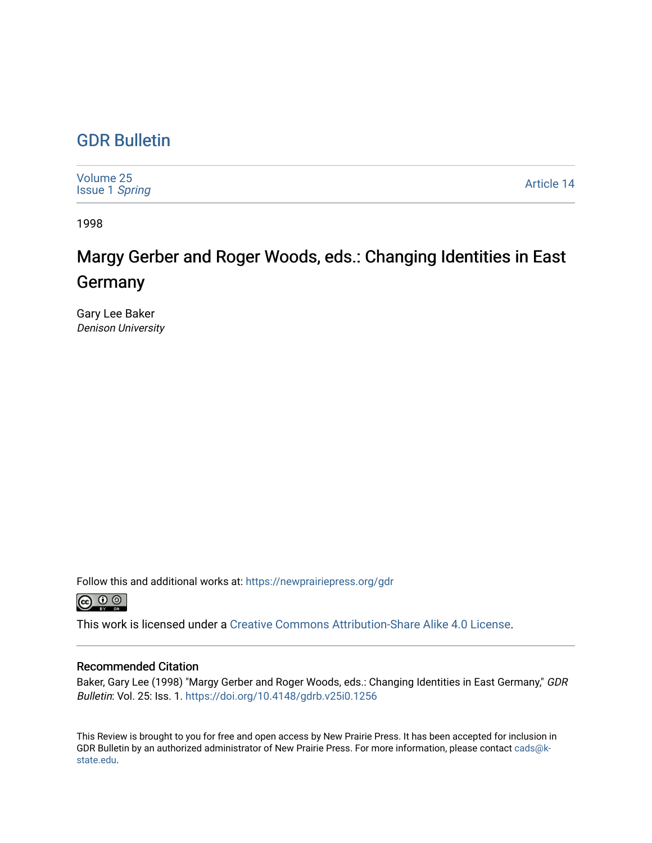## [GDR Bulletin](https://newprairiepress.org/gdr)

| Volume 25<br><b>Issue 1 Spring</b> | Article 14 |
|------------------------------------|------------|
|------------------------------------|------------|

1998

# Margy Gerber and Roger Woods, eds.: Changing Identities in East **Germany**

Gary Lee Baker Denison University

Follow this and additional works at: [https://newprairiepress.org/gdr](https://newprairiepress.org/gdr?utm_source=newprairiepress.org%2Fgdr%2Fvol25%2Fiss1%2F14&utm_medium=PDF&utm_campaign=PDFCoverPages) 



This work is licensed under a [Creative Commons Attribution-Share Alike 4.0 License.](https://creativecommons.org/licenses/by-sa/4.0/)

### Recommended Citation

Baker, Gary Lee (1998) "Margy Gerber and Roger Woods, eds.: Changing Identities in East Germany," GDR Bulletin: Vol. 25: Iss. 1.<https://doi.org/10.4148/gdrb.v25i0.1256>

This Review is brought to you for free and open access by New Prairie Press. It has been accepted for inclusion in GDR Bulletin by an authorized administrator of New Prairie Press. For more information, please contact [cads@k](mailto:cads@k-state.edu)[state.edu](mailto:cads@k-state.edu).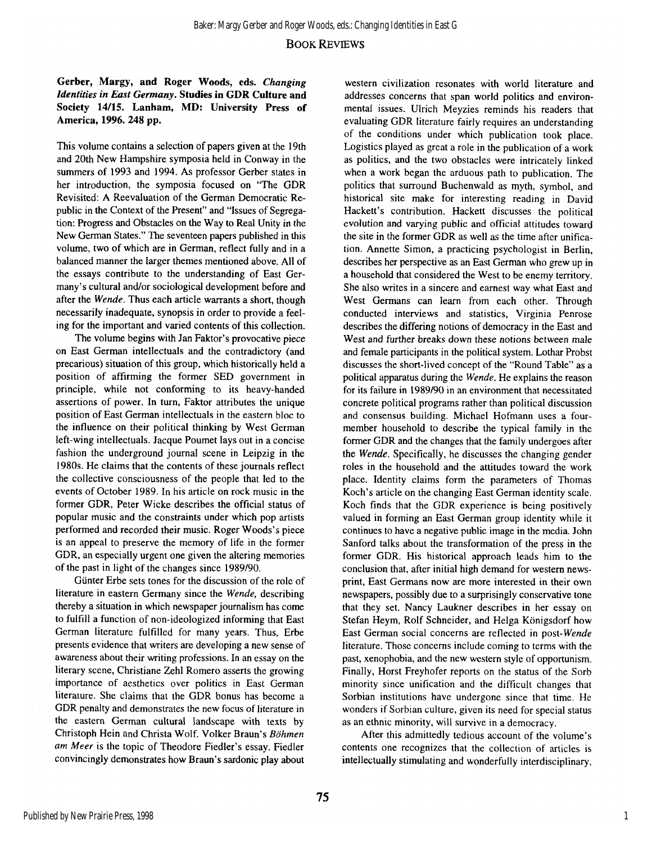#### **BOOK REVIEWS**

#### **Gerber, Margy, and Roger Woods, eds.** *Changing Identities in East Germany.* **Studies in GDR Culture and Society 14/15. Lanham, MD: University Press of America, 1996. 248 pp.**

This volume contains a selection of papers given at the 19th and 20th New Hampshire symposia held in Conway in the summers of 1993 and 1994. As professor Gerber states in her introduction, the symposia focused on "The GDR Revisited: A Reevaluation of the German Democratic Republic in the Context of the Present" and "Issues of Segregation: Progress and Obstacles on the Way to Real Unity in the New German States." The seventeen papers published in this volume, two of which are in German, reflect fully and in a balanced manner the larger themes mentioned above. All of the essays contribute to the understanding of East Germany's cultural and/or sociological development before and after the *Wende.* Thus each article warrants a short, though necessarily inadequate, synopsis in order to provide a feeling for the important and varied contents of this collection.

The volume begins with Jan Faktor's provocative piece on East German intellectuals and the contradictory (and precarious) situation of this group, which historically held a position of affirming the former SED government in principle, while not conforming to its heavy-handed assertions of power. In turn, Faktor attributes the unique position of East German intellectuals in the eastern bloc to the influence on their political thinking by West German left-wing intellectuals. Jacque Poumet lays out in a concise fashion the underground journal scene in Leipzig in the 1980s. He claims that the contents of these journals reflect the collective consciousness of the people that led to the events of October 1989. In his article on rock music in the former GDR, Peter Wicke describes the official status of popular music and the constraints under which pop artists performed and recorded their music. Roger Woods's piece is an appeal to preserve the memory of life in the former GDR, an especially urgent one given the altering memories of the past in light of the changes since 1989/90.

Günter Erbe sets tones for the discussion of the role of literature in eastern Germany since the *Wende,* describing thereby a situation in which newspaper journalism has come to fulfill a function of non-ideologized informing that East German literature fulfilled for many years. Thus, Erbe presents evidence that writers are developing a new sense of awareness about their writing professions. In an essay on the literary scene, Christiane Zehl Romero asserts the growing importance of aesthetics over politics in East German literature. She claims that the GDR bonus has become a GDR penalty and demonstrates the new focus of literature in the eastern German cultural landscape with texts by Christoph Hein and Christa Wolf. Volker Braun's *Böhmen am Meer* is the topic of Theodore Fiedler's essay. Fiedler convincingly demonstrates how Braun's sardonic play about

western civilization resonates with world literature and addresses concerns that span world politics and environmental issues. Ulrich Meyzies reminds his readers that evaluating GDR literature fairly requires an understanding of the conditions under which publication took place. Logistics played as great a role in the publication of a work as politics, and the two obstacles were intricately linked when a work began the arduous path to publication. The politics that surround Buchenwald as myth, symbol, and historical site make for interesting reading in David Hackett's contribution. Hackett discusses the political evolution and varying public and official attitudes toward the site in the former GDR as well as the time after unification. Annette Simon, a practicing psychologist in Berlin, describes her perspective as an East German who grew up in a household that considered the West to be enemy territory. She also writes in a sincere and earnest way what East and West Germans can learn from each other. Through conducted interviews and statistics, Virginia Penrose describes the differing notions of democracy in the East and West and further breaks down these notions between male and female participants in the political system. Lothar Probst discusses the short-lived concept of the "Round Table" as a political apparatus during the *Wende.* He explains the reason for its failure in 1989/90 in an environment that necessitated concrete political programs rather than political discussion and consensus building. Michael Hofmann uses a fourmember household to describe the typical family in the former GDR and the changes that the family undergoes after the *Wende.* Specifically, he discusses the changing gender roles in the household and the attitudes toward the work place. Identity claims form the parameters of Thomas Koch's article on the changing East German identity scale. Koch finds that the GDR experience is being positively valued in forming an East German group identity while it continues to have a negative public image in the media. John Sanford talks about the transformation of the press in the former GDR. His historical approach leads him to the conclusion that, after initial high demand for western newsprint, East Germans now are more interested in their own newspapers, possibly due to a surprisingly conservative tone that they set. Nancy Laukner describes in her essay on Stefan Heym, Rolf Schneider, and Helga Königsdorf how East German social concerns are reflected in *post-Wende*  literature. Those concerns include coming to terms with the past, xenophobia, and the new western style of opportunism. Finally, Horst Freyhofer reports on the status of the Sorb minority since unification and the difficult changes that Sorbian institutions have undergone since that time. He wonders if Sorbian culture, given its need for special status as an ethnic minority, will survive in a democracy.

After this admittedly tedious account of the volume's contents one recognizes that the collection of articles is intellectually stimulating and wonderfully interdisciplinary,